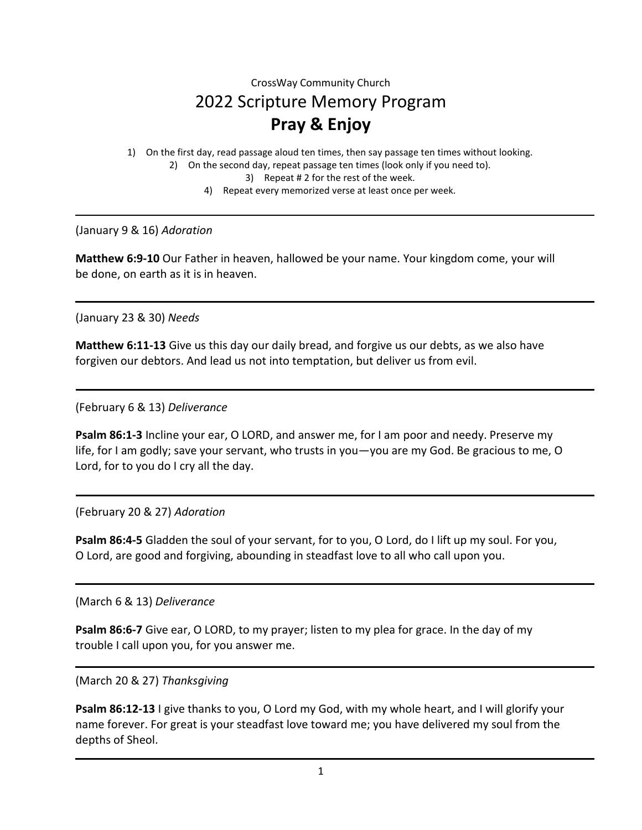# CrossWay Community Church 2022 Scripture Memory Program **Pray & Enjoy**

1) On the first day, read passage aloud ten times, then say passage ten times without looking.

- 2) On the second day, repeat passage ten times (look only if you need to).
	- 3) Repeat # 2 for the rest of the week.
	- 4) Repeat every memorized verse at least once per week.

(January 9 & 16) *Adoration*

**Matthew 6:9-10** Our Father in heaven, hallowed be your name. Your kingdom come, your will be done, on earth as it is in heaven.

(January 23 & 30) *Needs*

**Matthew 6:11-13** Give us this day our daily bread, and forgive us our debts, as we also have forgiven our debtors. And lead us not into temptation, but deliver us from evil.

(February 6 & 13) *Deliverance*

**Psalm 86:1-3** Incline your ear, O LORD, and answer me, for I am poor and needy. Preserve my life, for I am godly; save your servant, who trusts in you—you are my God. Be gracious to me, O Lord, for to you do I cry all the day.

# (February 20 & 27) *Adoration*

**Psalm 86:4-5** Gladden the soul of your servant, for to you, O Lord, do I lift up my soul. For you, O Lord, are good and forgiving, abounding in steadfast love to all who call upon you.

(March 6 & 13) *Deliverance*

**Psalm 86:6-7** Give ear, O LORD, to my prayer; listen to my plea for grace. In the day of my trouble I call upon you, for you answer me.

(March 20 & 27) *Thanksgiving*

**Psalm 86:12-13** I give thanks to you, O Lord my God, with my whole heart, and I will glorify your name forever. For great is your steadfast love toward me; you have delivered my soul from the depths of Sheol.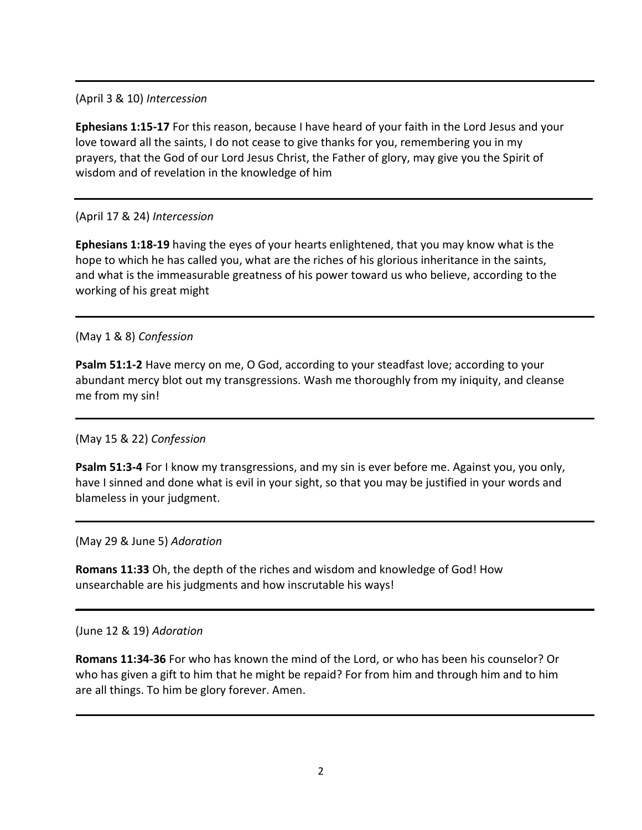(April 3 & 10) *Intercession*

**Ephesians 1:15-17** For this reason, because I have heard of your faith in the Lord Jesus and your love toward all the saints, I do not cease to give thanks for you, remembering you in my prayers, that the God of our Lord Jesus Christ, the Father of glory, may give you the Spirit of wisdom and of revelation in the knowledge of him

# (April 17 & 24) *Intercession*

**Ephesians 1:18-19** having the eyes of your hearts enlightened, that you may know what is the hope to which he has called you, what are the riches of his glorious inheritance in the saints, and what is the immeasurable greatness of his power toward us who believe, according to the working of his great might

(May 1 & 8) *Confession*

**Psalm 51:1-2** Have mercy on me, O God, according to your steadfast love; according to your abundant mercy blot out my transgressions. Wash me thoroughly from my iniquity, and cleanse me from my sin!

(May 15 & 22) *Confession*

**Psalm 51:3-4** For I know my transgressions, and my sin is ever before me. Against you, you only, have I sinned and done what is evil in your sight, so that you may be justified in your words and blameless in your judgment.

(May 29 & June 5) *Adoration*

**Romans 11:33** Oh, the depth of the riches and wisdom and knowledge of God! How unsearchable are his judgments and how inscrutable his ways!

(June 12 & 19) *Adoration*

**Romans 11:34-36** For who has known the mind of the Lord, or who has been his counselor? Or who has given a gift to him that he might be repaid? For from him and through him and to him are all things. To him be glory forever. Amen.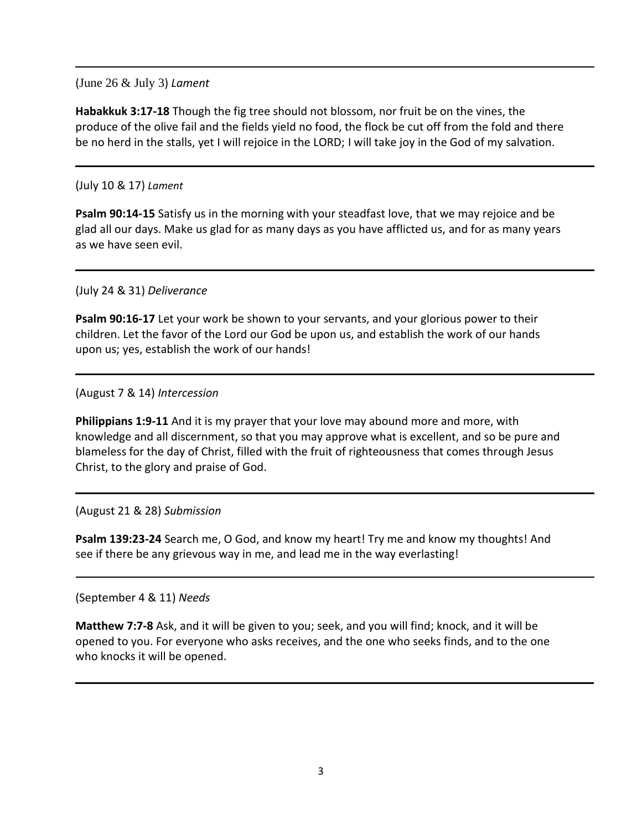(June 26 & July 3) *Lament*

**Habakkuk 3:17-18** Though the fig tree should not blossom, nor fruit be on the vines, the produce of the olive fail and the fields yield no food, the flock be cut off from the fold and there be no herd in the stalls, yet I will rejoice in the LORD; I will take joy in the God of my salvation.

## (July 10 & 17) *Lament*

**Psalm 90:14-15** Satisfy us in the morning with your steadfast love, that we may rejoice and be glad all our days. Make us glad for as many days as you have afflicted us, and for as many years as we have seen evil.

(July 24 & 31) *Deliverance*

**Psalm 90:16-17** Let your work be shown to your servants, and your glorious power to their children. Let the favor of the Lord our God be upon us, and establish the work of our hands upon us; yes, establish the work of our hands!

(August 7 & 14) *Intercession*

**Philippians 1:9-11** And it is my prayer that your love may abound more and more, with knowledge and all discernment, so that you may approve what is excellent, and so be pure and blameless for the day of Christ, filled with the fruit of righteousness that comes through Jesus Christ, to the glory and praise of God.

#### (August 21 & 28) *Submission*

**Psalm 139:23-24** Search me, O God, and know my heart! Try me and know my thoughts! And see if there be any grievous way in me, and lead me in the way everlasting!

#### (September 4 & 11) *Needs*

**Matthew 7:7-8** Ask, and it will be given to you; seek, and you will find; knock, and it will be opened to you. For everyone who asks receives, and the one who seeks finds, and to the one who knocks it will be opened.